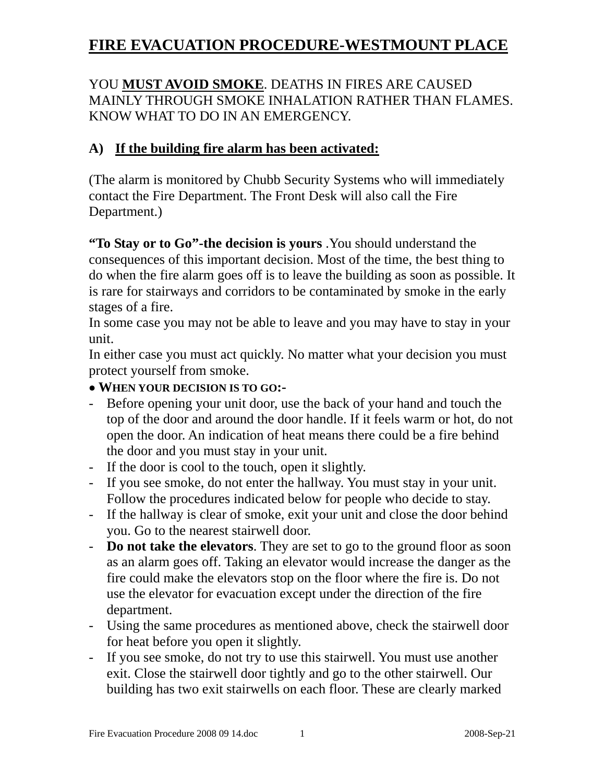# YOU **MUST AVOID SMOKE**. DEATHS IN FIRES ARE CAUSED MAINLY THROUGH SMOKE INHALATION RATHER THAN FLAMES. KNOW WHAT TO DO IN AN EMERGENCY.

# **A) If the building fire alarm has been activated:**

(The alarm is monitored by Chubb Security Systems who will immediately contact the Fire Department. The Front Desk will also call the Fire Department.)

**"To Stay or to Go"-the decision is yours** .You should understand the consequences of this important decision. Most of the time, the best thing to do when the fire alarm goes off is to leave the building as soon as possible. It is rare for stairways and corridors to be contaminated by smoke in the early stages of a fire.

In some case you may not be able to leave and you may have to stay in your unit.

In either case you must act quickly. No matter what your decision you must protect yourself from smoke.

## • **WHEN YOUR DECISION IS TO GO:-**

- Before opening your unit door, use the back of your hand and touch the top of the door and around the door handle. If it feels warm or hot, do not open the door. An indication of heat means there could be a fire behind the door and you must stay in your unit.
- If the door is cool to the touch, open it slightly.
- If you see smoke, do not enter the hallway. You must stay in your unit. Follow the procedures indicated below for people who decide to stay.
- If the hallway is clear of smoke, exit your unit and close the door behind you. Go to the nearest stairwell door.
- **Do not take the elevators**. They are set to go to the ground floor as soon as an alarm goes off. Taking an elevator would increase the danger as the fire could make the elevators stop on the floor where the fire is. Do not use the elevator for evacuation except under the direction of the fire department.
- Using the same procedures as mentioned above, check the stairwell door for heat before you open it slightly.
- If you see smoke, do not try to use this stairwell. You must use another exit. Close the stairwell door tightly and go to the other stairwell. Our building has two exit stairwells on each floor. These are clearly marked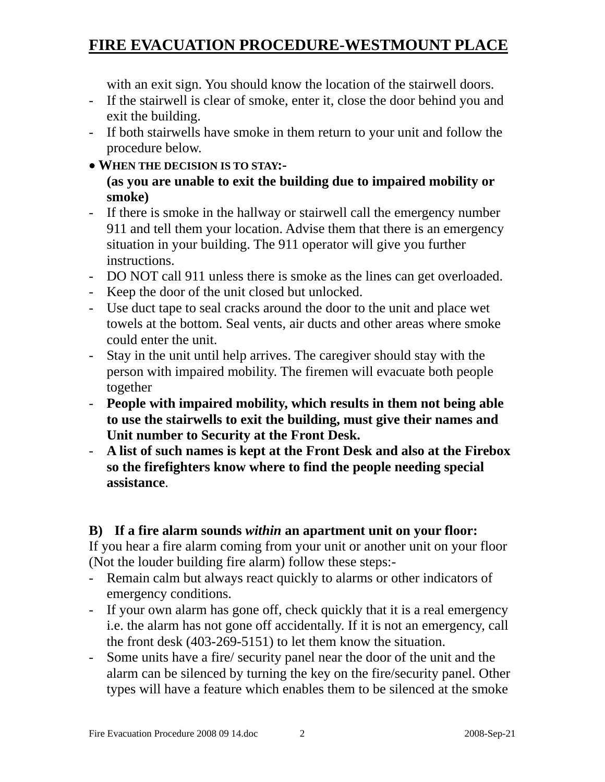with an exit sign. You should know the location of the stairwell doors.

- If the stairwell is clear of smoke, enter it, close the door behind you and exit the building.
- If both stairwells have smoke in them return to your unit and follow the procedure below.
- • **WHEN THE DECISION IS TO STAY:-**

## **(as you are unable to exit the building due to impaired mobility or smoke)**

- If there is smoke in the hallway or stairwell call the emergency number 911 and tell them your location. Advise them that there is an emergency situation in your building. The 911 operator will give you further instructions.
- DO NOT call 911 unless there is smoke as the lines can get overloaded.
- Keep the door of the unit closed but unlocked.
- Use duct tape to seal cracks around the door to the unit and place wet towels at the bottom. Seal vents, air ducts and other areas where smoke could enter the unit.
- Stay in the unit until help arrives. The caregiver should stay with the person with impaired mobility. The firemen will evacuate both people together
- **People with impaired mobility, which results in them not being able to use the stairwells to exit the building, must give their names and Unit number to Security at the Front Desk.**
- **A list of such names is kept at the Front Desk and also at the Firebox so the firefighters know where to find the people needing special assistance**.

# **B) If a fire alarm sounds** *within* **an apartment unit on your floor:**

If you hear a fire alarm coming from your unit or another unit on your floor (Not the louder building fire alarm) follow these steps:-

- Remain calm but always react quickly to alarms or other indicators of emergency conditions.
- If your own alarm has gone off, check quickly that it is a real emergency i.e. the alarm has not gone off accidentally. If it is not an emergency, call the front desk (403-269-5151) to let them know the situation.
- Some units have a fire/ security panel near the door of the unit and the alarm can be silenced by turning the key on the fire/security panel. Other types will have a feature which enables them to be silenced at the smoke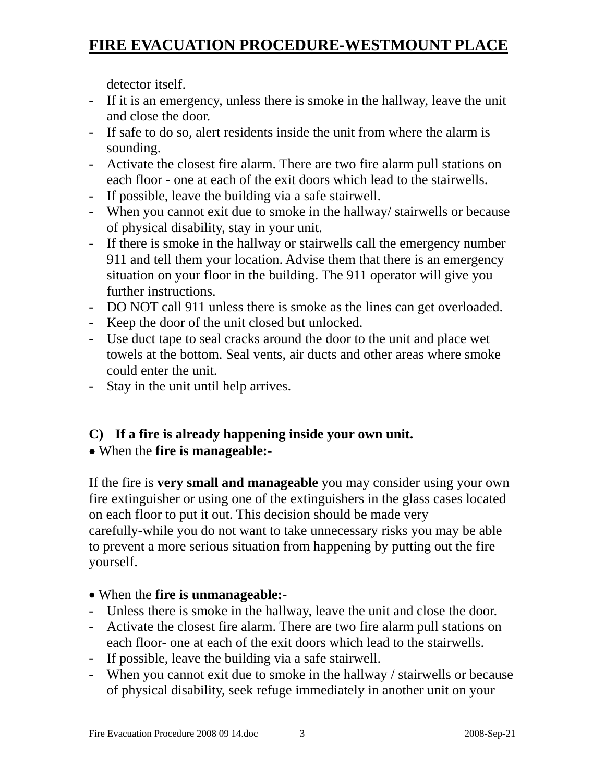detector itself.

- If it is an emergency, unless there is smoke in the hallway, leave the unit and close the door.
- If safe to do so, alert residents inside the unit from where the alarm is sounding.
- Activate the closest fire alarm. There are two fire alarm pull stations on each floor - one at each of the exit doors which lead to the stairwells.
- If possible, leave the building via a safe stairwell.
- When you cannot exit due to smoke in the hallway/ stairwells or because of physical disability, stay in your unit.
- If there is smoke in the hallway or stairwells call the emergency number 911 and tell them your location. Advise them that there is an emergency situation on your floor in the building. The 911 operator will give you further instructions.
- DO NOT call 911 unless there is smoke as the lines can get overloaded.
- Keep the door of the unit closed but unlocked.
- Use duct tape to seal cracks around the door to the unit and place wet towels at the bottom. Seal vents, air ducts and other areas where smoke could enter the unit.
- Stay in the unit until help arrives.

# **C) If a fire is already happening inside your own unit.**

# • When the **fire is manageable:**-

If the fire is **very small and manageable** you may consider using your own fire extinguisher or using one of the extinguishers in the glass cases located on each floor to put it out. This decision should be made very carefully-while you do not want to take unnecessary risks you may be able to prevent a more serious situation from happening by putting out the fire yourself.

# • When the **fire is unmanageable:**-

- Unless there is smoke in the hallway, leave the unit and close the door.
- Activate the closest fire alarm. There are two fire alarm pull stations on each floor- one at each of the exit doors which lead to the stairwells.
- If possible, leave the building via a safe stairwell.
- When you cannot exit due to smoke in the hallway / stairwells or because of physical disability, seek refuge immediately in another unit on your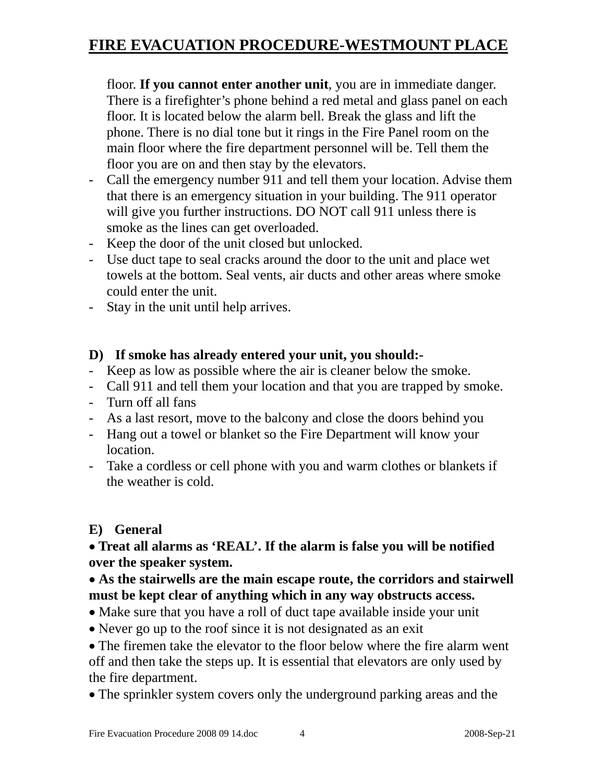floor. **If you cannot enter another unit**, you are in immediate danger. There is a firefighter's phone behind a red metal and glass panel on each floor. It is located below the alarm bell. Break the glass and lift the phone. There is no dial tone but it rings in the Fire Panel room on the main floor where the fire department personnel will be. Tell them the floor you are on and then stay by the elevators.

- Call the emergency number 911 and tell them your location. Advise them that there is an emergency situation in your building. The 911 operator will give you further instructions. DO NOT call 911 unless there is smoke as the lines can get overloaded.
- Keep the door of the unit closed but unlocked.
- Use duct tape to seal cracks around the door to the unit and place wet towels at the bottom. Seal vents, air ducts and other areas where smoke could enter the unit.
- Stay in the unit until help arrives.

## **D) If smoke has already entered your unit, you should:-**

- Keep as low as possible where the air is cleaner below the smoke.
- Call 911 and tell them your location and that you are trapped by smoke.
- Turn off all fans
- As a last resort, move to the balcony and close the doors behind you
- Hang out a towel or blanket so the Fire Department will know your location.
- Take a cordless or cell phone with you and warm clothes or blankets if the weather is cold.

## **E) General**

## • **Treat all alarms as 'REAL'. If the alarm is false you will be notified over the speaker system.**

## • **As the stairwells are the main escape route, the corridors and stairwell must be kept clear of anything which in any way obstructs access.**

- Make sure that you have a roll of duct tape available inside your unit
- Never go up to the roof since it is not designated as an exit

• The firemen take the elevator to the floor below where the fire alarm went off and then take the steps up. It is essential that elevators are only used by the fire department.

• The sprinkler system covers only the underground parking areas and the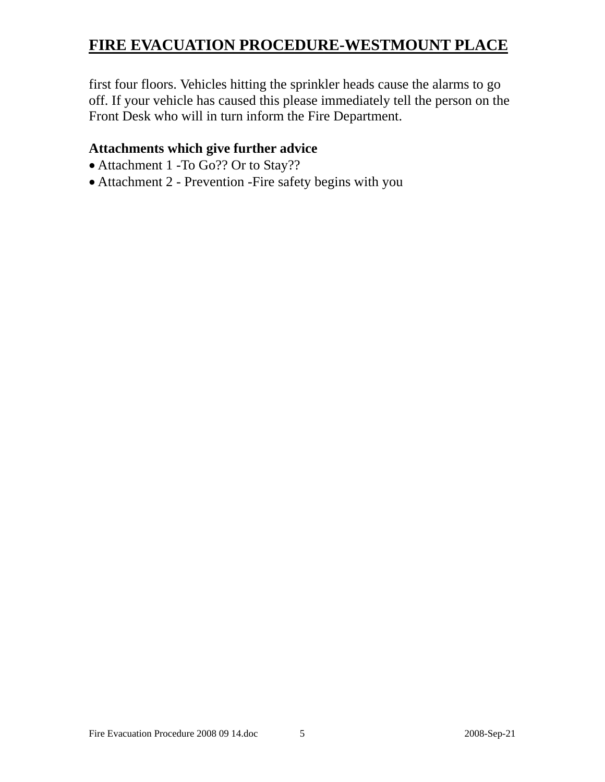first four floors. Vehicles hitting the sprinkler heads cause the alarms to go off. If your vehicle has caused this please immediately tell the person on the Front Desk who will in turn inform the Fire Department.

# **Attachments which give further advice**

- Attachment 1 -To Go?? Or to Stay??
- Attachment 2 Prevention -Fire safety begins with you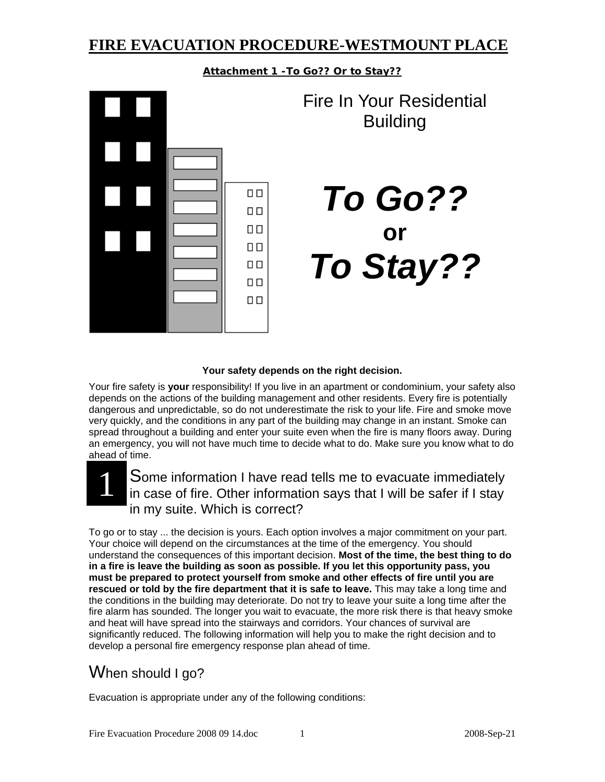**Attachment 1 -To Go?? Or to Stay??**

 $\Box$  $\Box$  $\Box$   $\Box$  $\Box$  $\Box$  $\square$ <br/> $\square$  $\Box$ 

Fire In Your Residential Building

*To Go??* **or** *To Stay??*

#### **Your safety depends on the right decision.**

Your fire safety is **your** responsibility! If you live in an apartment or condominium, your safety also depends on the actions of the building management and other residents. Every fire is potentially dangerous and unpredictable, so do not underestimate the risk to your life. Fire and smoke move very quickly, and the conditions in any part of the building may change in an instant. Smoke can spread throughout a building and enter your suite even when the fire is many floors away. During an emergency, you will not have much time to decide what to do. Make sure you know what to do ahead of time.

# 1

Some information I have read tells me to evacuate immediately in case of fire. Other information says that I will be safer if I stay in my suite. Which is correct?

To go or to stay ... the decision is yours. Each option involves a major commitment on your part. Your choice will depend on the circumstances at the time of the emergency. You should understand the consequences of this important decision. **Most of the time, the best thing to do in a fire is leave the building as soon as possible. If you let this opportunity pass, you must be prepared to protect yourself from smoke and other effects of fire until you are rescued or told by the fire department that it is safe to leave.** This may take a long time and the conditions in the building may deteriorate. Do not try to leave your suite a long time after the fire alarm has sounded. The longer you wait to evacuate, the more risk there is that heavy smoke and heat will have spread into the stairways and corridors. Your chances of survival are significantly reduced. The following information will help you to make the right decision and to develop a personal fire emergency response plan ahead of time.

# When should I go?

Evacuation is appropriate under any of the following conditions: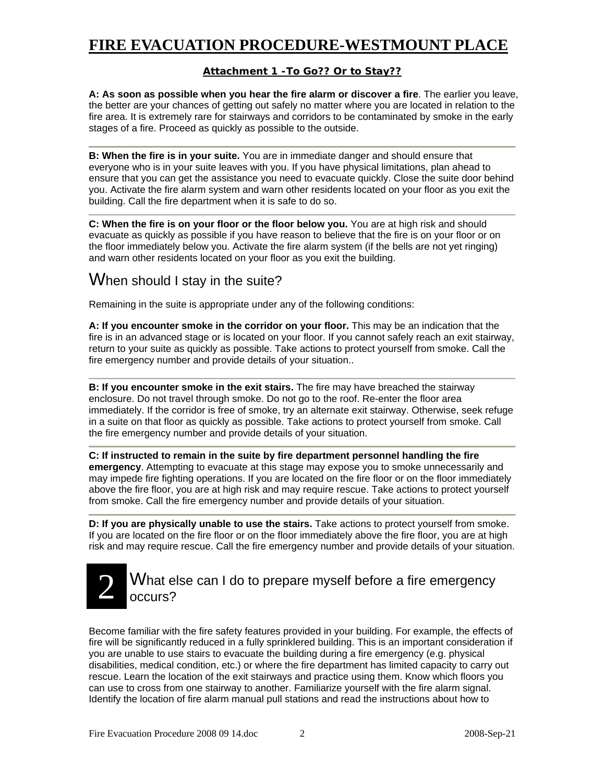#### **Attachment 1 -To Go?? Or to Stay??**

**A: As soon as possible when you hear the fire alarm or discover a fire**. The earlier you leave, the better are your chances of getting out safely no matter where you are located in relation to the fire area. It is extremely rare for stairways and corridors to be contaminated by smoke in the early stages of a fire. Proceed as quickly as possible to the outside.

**B: When the fire is in your suite.** You are in immediate danger and should ensure that everyone who is in your suite leaves with you. If you have physical limitations, plan ahead to ensure that you can get the assistance you need to evacuate quickly. Close the suite door behind you. Activate the fire alarm system and warn other residents located on your floor as you exit the building. Call the fire department when it is safe to do so.

**C: When the fire is on your floor or the floor below you.** You are at high risk and should evacuate as quickly as possible if you have reason to believe that the fire is on your floor or on the floor immediately below you. Activate the fire alarm system (if the bells are not yet ringing) and warn other residents located on your floor as you exit the building.

# When should I stay in the suite?

Remaining in the suite is appropriate under any of the following conditions:

**A: If you encounter smoke in the corridor on your floor.** This may be an indication that the fire is in an advanced stage or is located on your floor. If you cannot safely reach an exit stairway, return to your suite as quickly as possible. Take actions to protect yourself from smoke. Call the fire emergency number and provide details of your situation..

**B: If you encounter smoke in the exit stairs.** The fire may have breached the stairway enclosure. Do not travel through smoke. Do not go to the roof. Re-enter the floor area immediately. If the corridor is free of smoke, try an alternate exit stairway. Otherwise, seek refuge in a suite on that floor as quickly as possible. Take actions to protect yourself from smoke. Call the fire emergency number and provide details of your situation.

**C: If instructed to remain in the suite by fire department personnel handling the fire emergency**. Attempting to evacuate at this stage may expose you to smoke unnecessarily and may impede fire fighting operations. If you are located on the fire floor or on the floor immediately above the fire floor, you are at high risk and may require rescue. Take actions to protect yourself from smoke. Call the fire emergency number and provide details of your situation.

**D: If you are physically unable to use the stairs.** Take actions to protect yourself from smoke. If you are located on the fire floor or on the floor immediately above the fire floor, you are at high risk and may require rescue. Call the fire emergency number and provide details of your situation.

#### What else can I do to prepare myself before a fire emergency occurs? 2

Become familiar with the fire safety features provided in your building. For example, the effects of fire will be significantly reduced in a fully sprinklered building. This is an important consideration if you are unable to use stairs to evacuate the building during a fire emergency (e.g. physical disabilities, medical condition, etc.) or where the fire department has limited capacity to carry out rescue. Learn the location of the exit stairways and practice using them. Know which floors you can use to cross from one stairway to another. Familiarize yourself with the fire alarm signal. Identify the location of fire alarm manual pull stations and read the instructions about how to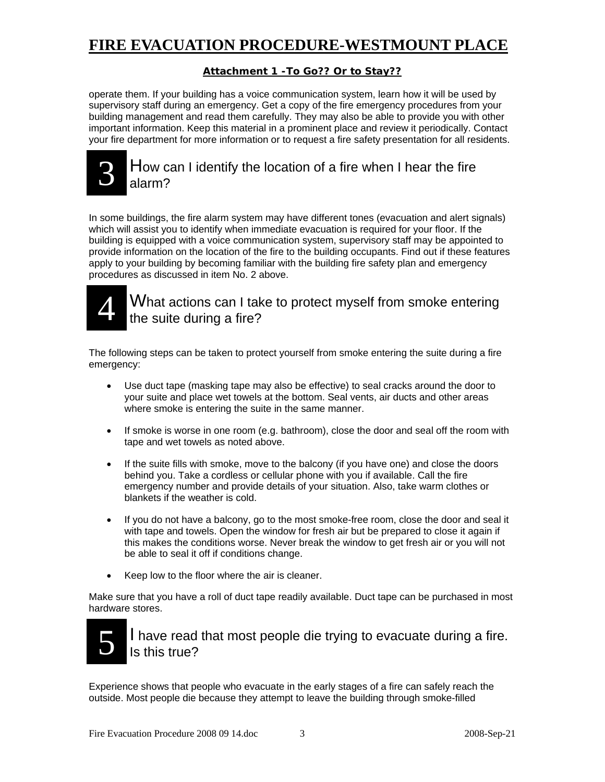### **Attachment 1 -To Go?? Or to Stay??**

operate them. If your building has a voice communication system, learn how it will be used by supervisory staff during an emergency. Get a copy of the fire emergency procedures from your building management and read them carefully. They may also be able to provide you with other important information. Keep this material in a prominent place and review it periodically. Contact your fire department for more information or to request a fire safety presentation for all residents.



## How can I identify the location of a fire when I hear the fire alarm?

In some buildings, the fire alarm system may have different tones (evacuation and alert signals) which will assist you to identify when immediate evacuation is required for your floor. If the building is equipped with a voice communication system, supervisory staff may be appointed to provide information on the location of the fire to the building occupants. Find out if these features apply to your building by becoming familiar with the building fire safety plan and emergency procedures as discussed in item No. 2 above.



# What actions can I take to protect myself from smoke entering the suite during a fire?

The following steps can be taken to protect yourself from smoke entering the suite during a fire emergency:

- Use duct tape (masking tape may also be effective) to seal cracks around the door to your suite and place wet towels at the bottom. Seal vents, air ducts and other areas where smoke is entering the suite in the same manner.
- If smoke is worse in one room (e.g. bathroom), close the door and seal off the room with tape and wet towels as noted above.
- If the suite fills with smoke, move to the balcony (if you have one) and close the doors behind you. Take a cordless or cellular phone with you if available. Call the fire emergency number and provide details of your situation. Also, take warm clothes or blankets if the weather is cold.
- If you do not have a balcony, go to the most smoke-free room, close the door and seal it with tape and towels. Open the window for fresh air but be prepared to close it again if this makes the conditions worse. Never break the window to get fresh air or you will not be able to seal it off if conditions change.
- Keep low to the floor where the air is cleaner.

Make sure that you have a roll of duct tape readily available. Duct tape can be purchased in most hardware stores.



I have read that most people die trying to evacuate during a fire. Is this true?

Experience shows that people who evacuate in the early stages of a fire can safely reach the outside. Most people die because they attempt to leave the building through smoke-filled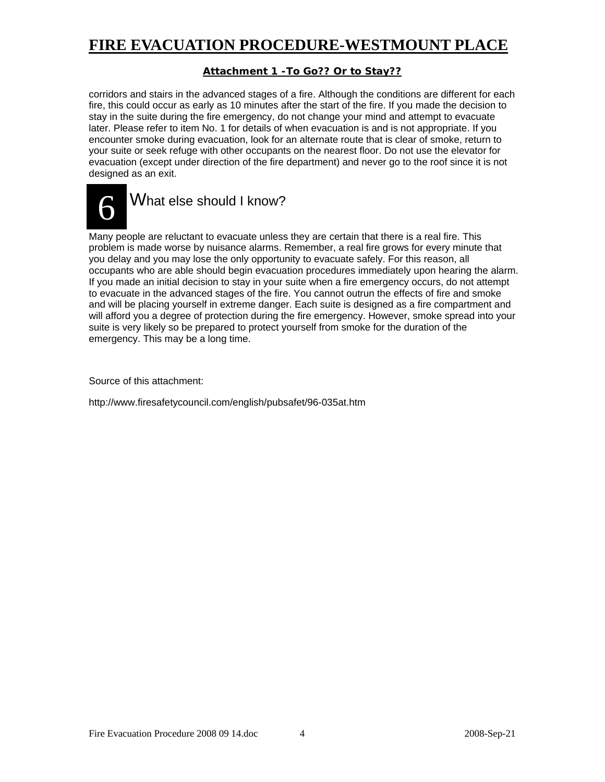### **Attachment 1 -To Go?? Or to Stay??**

corridors and stairs in the advanced stages of a fire. Although the conditions are different for each fire, this could occur as early as 10 minutes after the start of the fire. If you made the decision to stay in the suite during the fire emergency, do not change your mind and attempt to evacuate later. Please refer to item No. 1 for details of when evacuation is and is not appropriate. If you encounter smoke during evacuation, look for an alternate route that is clear of smoke, return to your suite or seek refuge with other occupants on the nearest floor. Do not use the elevator for evacuation (except under direction of the fire department) and never go to the roof since it is not designed as an exit.



Many people are reluctant to evacuate unless they are certain that there is a real fire. This problem is made worse by nuisance alarms. Remember, a real fire grows for every minute that you delay and you may lose the only opportunity to evacuate safely. For this reason, all occupants who are able should begin evacuation procedures immediately upon hearing the alarm. If you made an initial decision to stay in your suite when a fire emergency occurs, do not attempt to evacuate in the advanced stages of the fire. You cannot outrun the effects of fire and smoke and will be placing yourself in extreme danger. Each suite is designed as a fire compartment and will afford you a degree of protection during the fire emergency. However, smoke spread into your suite is very likely so be prepared to protect yourself from smoke for the duration of the emergency. This may be a long time.

Source of this attachment:

http://www.firesafetycouncil.com/english/pubsafet/96-035at.htm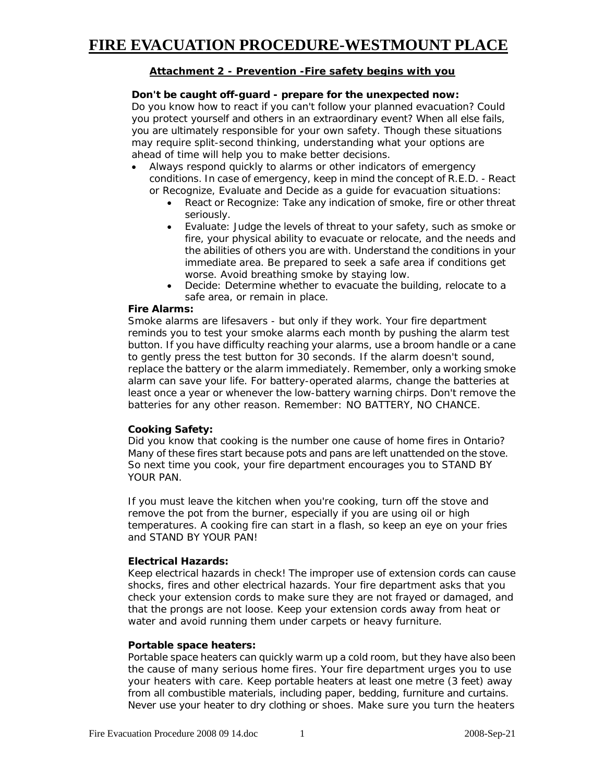### **Attachment 2 - Prevention -Fire safety begins with you**

#### *Don't be caught off-guard - prepare for the unexpected now:*

Do you know how to react if you can't follow your planned evacuation? Could you protect yourself and others in an extraordinary event? When all else fails, you are ultimately responsible for your own safety. Though these situations may require split-second thinking, understanding what your options are ahead of time will help you to make better decisions.

- Always respond quickly to alarms or other indicators of emergency conditions. In case of emergency, keep in mind the concept of R.E.D. - React or Recognize, Evaluate and Decide as a guide for evacuation situations:
	- React or Recognize: Take any indication of smoke, fire or other threat seriously.
	- Evaluate: Judge the levels of threat to your safety, such as smoke or fire, your physical ability to evacuate or relocate, and the needs and the abilities of others you are with. Understand the conditions in your immediate area. Be prepared to seek a safe area if conditions get worse. Avoid breathing smoke by staying low.
	- Decide: Determine whether to evacuate the building, relocate to a safe area, or remain in place.

#### *Fire Alarms:*

Smoke alarms are lifesavers - but only if they work. Your fire department reminds you to test your smoke alarms each month by pushing the alarm test button. If you have difficulty reaching your alarms, use a broom handle or a cane to gently press the test button for 30 seconds. If the alarm doesn't sound, replace the battery or the alarm immediately. Remember, only a working smoke alarm can save your life. For battery-operated alarms, change the batteries at least once a year or whenever the low-battery warning chirps. Don't remove the batteries for any other reason. Remember: NO BATTERY, NO CHANCE.

#### *Cooking Safety:*

Did you know that cooking is the number one cause of home fires in Ontario? Many of these fires start because pots and pans are left unattended on the stove. So next time you cook, your fire department encourages you to STAND BY YOUR PAN.

If you must leave the kitchen when you're cooking, turn off the stove and remove the pot from the burner, especially if you are using oil or high temperatures. A cooking fire can start in a flash, so keep an eye on your fries and STAND BY YOUR PAN!

#### *Electrical Hazards:*

Keep electrical hazards in check! The improper use of extension cords can cause shocks, fires and other electrical hazards. Your fire department asks that you check your extension cords to make sure they are not frayed or damaged, and that the prongs are not loose. Keep your extension cords away from heat or water and avoid running them under carpets or heavy furniture.

#### *Portable space heaters:*

Portable space heaters can quickly warm up a cold room, but they have also been the cause of many serious home fires. Your fire department urges you to use your heaters with care. Keep portable heaters at least one metre (3 feet) away from all combustible materials, including paper, bedding, furniture and curtains. Never use your heater to dry clothing or shoes. Make sure you turn the heaters